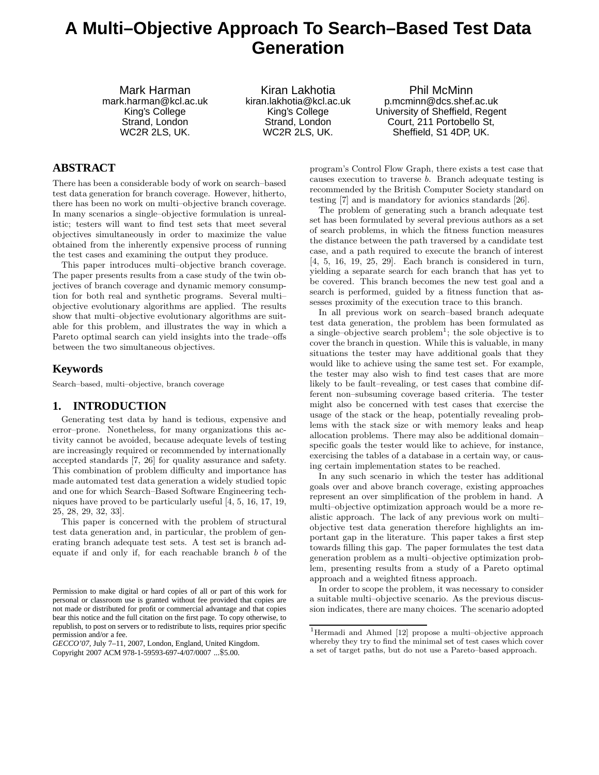# **A Multi–Objective Approach To Search–Based Test Data Generation**

Mark Harman mark.harman@kcl.ac.uk King's College Strand, London WC2R 2LS, UK.

Kiran Lakhotia kiran.lakhotia@kcl.ac.uk King's College Strand, London WC2R 2LS, UK.

Phil McMinn p.mcminn@dcs.shef.ac.uk University of Sheffield, Regent Court, 211 Portobello St, Sheffield, S1 4DP, UK.

# **ABSTRACT**

There has been a considerable body of work on search–based test data generation for branch coverage. However, hitherto, there has been no work on multi–objective branch coverage. In many scenarios a single–objective formulation is unrealistic; testers will want to find test sets that meet several objectives simultaneously in order to maximize the value obtained from the inherently expensive process of running the test cases and examining the output they produce.

This paper introduces multi–objective branch coverage. The paper presents results from a case study of the twin objectives of branch coverage and dynamic memory consumption for both real and synthetic programs. Several multi– objective evolutionary algorithms are applied. The results show that multi–objective evolutionary algorithms are suitable for this problem, and illustrates the way in which a Pareto optimal search can yield insights into the trade–offs between the two simultaneous objectives.

## **Keywords**

Search–based, multi–objective, branch coverage

## **1. INTRODUCTION**

Generating test data by hand is tedious, expensive and error–prone. Nonetheless, for many organizations this activity cannot be avoided, because adequate levels of testing are increasingly required or recommended by internationally accepted standards [7, 26] for quality assurance and safety. This combination of problem difficulty and importance has made automated test data generation a widely studied topic and one for which Search–Based Software Engineering techniques have proved to be particularly useful [4, 5, 16, 17, 19, 25, 28, 29, 32, 33].

This paper is concerned with the problem of structural test data generation and, in particular, the problem of generating branch adequate test sets. A test set is branch adequate if and only if, for each reachable branch b of the

Copyright 2007 ACM 978-1-59593-697-4/07/0007 ...\$5.00.

program's Control Flow Graph, there exists a test case that causes execution to traverse b. Branch adequate testing is recommended by the British Computer Society standard on testing [7] and is mandatory for avionics standards [26].

The problem of generating such a branch adequate test set has been formulated by several previous authors as a set of search problems, in which the fitness function measures the distance between the path traversed by a candidate test case, and a path required to execute the branch of interest [4, 5, 16, 19, 25, 29]. Each branch is considered in turn, yielding a separate search for each branch that has yet to be covered. This branch becomes the new test goal and a search is performed, guided by a fitness function that assesses proximity of the execution trace to this branch.

In all previous work on search–based branch adequate test data generation, the problem has been formulated as a single–objective search  $\text{problem}^1$ ; the sole objective is to cover the branch in question. While this is valuable, in many situations the tester may have additional goals that they would like to achieve using the same test set. For example, the tester may also wish to find test cases that are more likely to be fault–revealing, or test cases that combine different non–subsuming coverage based criteria. The tester might also be concerned with test cases that exercise the usage of the stack or the heap, potentially revealing problems with the stack size or with memory leaks and heap allocation problems. There may also be additional domain– specific goals the tester would like to achieve, for instance, exercising the tables of a database in a certain way, or causing certain implementation states to be reached.

In any such scenario in which the tester has additional goals over and above branch coverage, existing approaches represent an over simplification of the problem in hand. A multi–objective optimization approach would be a more realistic approach. The lack of any previous work on multi– objective test data generation therefore highlights an important gap in the literature. This paper takes a first step towards filling this gap. The paper formulates the test data generation problem as a multi–objective optimization problem, presenting results from a study of a Pareto optimal approach and a weighted fitness approach.

In order to scope the problem, it was necessary to consider a suitable multi–objective scenario. As the previous discussion indicates, there are many choices. The scenario adopted

Permission to make digital or hard copies of all or part of this work for personal or classroom use is granted without fee provided that copies are not made or distributed for profit or commercial advantage and that copies bear this notice and the full citation on the first page. To copy otherwise, to republish, to post on servers or to redistribute to lists, requires prior specific permission and/or a fee.

*GECCO'07,* July 7–11, 2007, London, England, United Kingdom.

<sup>1</sup>Hermadi and Ahmed [12] propose a multi–objective approach whereby they try to find the minimal set of test cases which cover a set of target paths, but do not use a Pareto–based approach.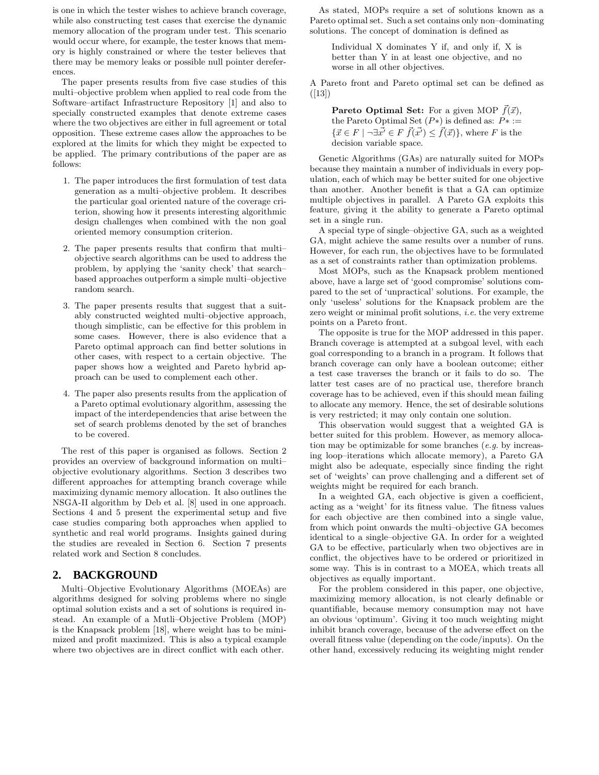is one in which the tester wishes to achieve branch coverage, while also constructing test cases that exercise the dynamic memory allocation of the program under test. This scenario would occur where, for example, the tester knows that memory is highly constrained or where the tester believes that there may be memory leaks or possible null pointer dereferences.

The paper presents results from five case studies of this multi–objective problem when applied to real code from the Software–artifact Infrastructure Repository [1] and also to specially constructed examples that denote extreme cases where the two objectives are either in full agreement or total opposition. These extreme cases allow the approaches to be explored at the limits for which they might be expected to be applied. The primary contributions of the paper are as follows:

- 1. The paper introduces the first formulation of test data generation as a multi–objective problem. It describes the particular goal oriented nature of the coverage criterion, showing how it presents interesting algorithmic design challenges when combined with the non goal oriented memory consumption criterion.
- 2. The paper presents results that confirm that multi– objective search algorithms can be used to address the problem, by applying the 'sanity check' that search– based approaches outperform a simple multi–objective random search.
- 3. The paper presents results that suggest that a suitably constructed weighted multi–objective approach, though simplistic, can be effective for this problem in some cases. However, there is also evidence that a Pareto optimal approach can find better solutions in other cases, with respect to a certain objective. The paper shows how a weighted and Pareto hybrid approach can be used to complement each other.
- 4. The paper also presents results from the application of a Pareto optimal evolutionary algorithm, assessing the impact of the interdependencies that arise between the set of search problems denoted by the set of branches to be covered.

The rest of this paper is organised as follows. Section 2 provides an overview of background information on multi– objective evolutionary algorithms. Section 3 describes two different approaches for attempting branch coverage while maximizing dynamic memory allocation. It also outlines the NSGA-II algorithm by Deb et al. [8] used in one approach. Sections 4 and 5 present the experimental setup and five case studies comparing both approaches when applied to synthetic and real world programs. Insights gained during the studies are revealed in Section 6. Section 7 presents related work and Section 8 concludes.

## **2. BACKGROUND**

Multi–Objective Evolutionary Algorithms (MOEAs) are algorithms designed for solving problems where no single optimal solution exists and a set of solutions is required instead. An example of a Mutli–Objective Problem (MOP) is the Knapsack problem [18], where weight has to be minimized and profit maximized. This is also a typical example where two objectives are in direct conflict with each other.

As stated, MOPs require a set of solutions known as a Pareto optimal set. Such a set contains only non–dominating solutions. The concept of domination is defined as

Individual X dominates Y if, and only if, X is better than Y in at least one objective, and no worse in all other objectives.

A Pareto front and Pareto optimal set can be defined as  $([13])$ 

**Pareto Optimal Set:** For a given MOP  $f(\vec{x})$ , the Pareto Optimal Set  $(P*)$  is defined as:  $P* :=$  $\{\vec{x} \in F \mid \neg \exists \vec{x'} \in F \ \vec{f}(\vec{x'}) \leq \vec{f}(\vec{x})\},\$  where F is the decision variable space.

Genetic Algorithms (GAs) are naturally suited for MOPs because they maintain a number of individuals in every population, each of which may be better suited for one objective than another. Another benefit is that a GA can optimize multiple objectives in parallel. A Pareto GA exploits this feature, giving it the ability to generate a Pareto optimal set in a single run.

A special type of single–objective GA, such as a weighted GA, might achieve the same results over a number of runs. However, for each run, the objectives have to be formulated as a set of constraints rather than optimization problems.

Most MOPs, such as the Knapsack problem mentioned above, have a large set of 'good compromise' solutions compared to the set of 'unpractical' solutions. For example, the only 'useless' solutions for the Knapsack problem are the zero weight or minimal profit solutions, i.e. the very extreme points on a Pareto front.

The opposite is true for the MOP addressed in this paper. Branch coverage is attempted at a subgoal level, with each goal corresponding to a branch in a program. It follows that branch coverage can only have a boolean outcome; either a test case traverses the branch or it fails to do so. The latter test cases are of no practical use, therefore branch coverage has to be achieved, even if this should mean failing to allocate any memory. Hence, the set of desirable solutions is very restricted; it may only contain one solution.

This observation would suggest that a weighted GA is better suited for this problem. However, as memory allocation may be optimizable for some branches  $(e.g.$  by increasing loop–iterations which allocate memory), a Pareto GA might also be adequate, especially since finding the right set of 'weights' can prove challenging and a different set of weights might be required for each branch.

In a weighted GA, each objective is given a coefficient, acting as a 'weight' for its fitness value. The fitness values for each objective are then combined into a single value, from which point onwards the multi–objective GA becomes identical to a single–objective GA. In order for a weighted GA to be effective, particularly when two objectives are in conflict, the objectives have to be ordered or prioritized in some way. This is in contrast to a MOEA, which treats all objectives as equally important.

For the problem considered in this paper, one objective, maximizing memory allocation, is not clearly definable or quantifiable, because memory consumption may not have an obvious 'optimum'. Giving it too much weighting might inhibit branch coverage, because of the adverse effect on the overall fitness value (depending on the code/inputs). On the other hand, excessively reducing its weighting might render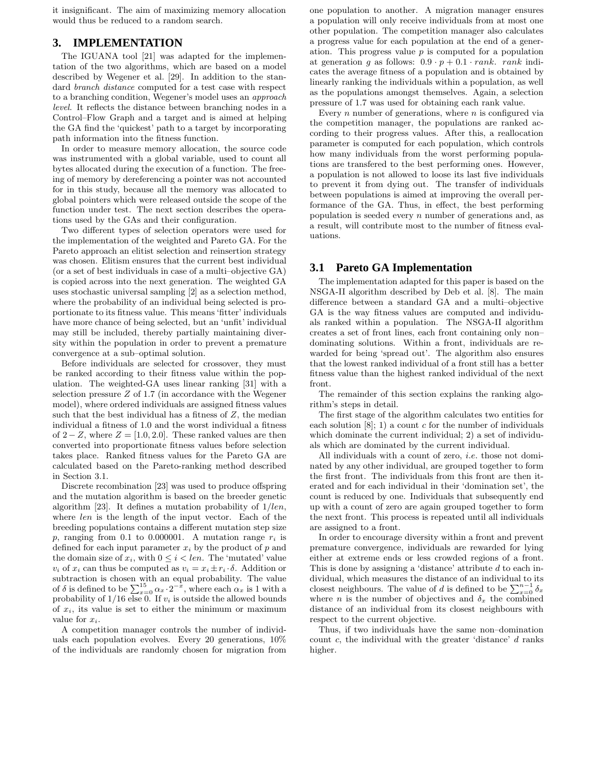it insignificant. The aim of maximizing memory allocation would thus be reduced to a random search.

## **3. IMPLEMENTATION**

The IGUANA tool [21] was adapted for the implementation of the two algorithms, which are based on a model described by Wegener et al. [29]. In addition to the standard branch distance computed for a test case with respect to a branching condition, Wegener's model uses an approach level. It reflects the distance between branching nodes in a Control–Flow Graph and a target and is aimed at helping the GA find the 'quickest' path to a target by incorporating path information into the fitness function.

In order to measure memory allocation, the source code was instrumented with a global variable, used to count all bytes allocated during the execution of a function. The freeing of memory by dereferencing a pointer was not accounted for in this study, because all the memory was allocated to global pointers which were released outside the scope of the function under test. The next section describes the operations used by the GAs and their configuration.

Two different types of selection operators were used for the implementation of the weighted and Pareto GA. For the Pareto approach an elitist selection and reinsertion strategy was chosen. Elitism ensures that the current best individual (or a set of best individuals in case of a multi–objective GA) is copied across into the next generation. The weighted GA uses stochastic universal sampling [2] as a selection method, where the probability of an individual being selected is proportionate to its fitness value. This means 'fitter' individuals have more chance of being selected, but an 'unfit' individual may still be included, thereby partially maintaining diversity within the population in order to prevent a premature convergence at a sub–optimal solution.

Before individuals are selected for crossover, they must be ranked according to their fitness value within the population. The weighted-GA uses linear ranking [31] with a selection pressure  $Z$  of 1.7 (in accordance with the Wegener model), where ordered individuals are assigned fitness values such that the best individual has a fitness of  $Z$ , the median individual a fitness of 1.0 and the worst individual a fitness of  $2 - Z$ , where  $Z = [1.0, 2.0]$ . These ranked values are then converted into proportionate fitness values before selection takes place. Ranked fitness values for the Pareto GA are calculated based on the Pareto-ranking method described in Section 3.1.

Discrete recombination [23] was used to produce offspring and the mutation algorithm is based on the breeder genetic algorithm [23]. It defines a mutation probability of  $1/len$ , where *len* is the length of the input vector. Each of the breeding populations contains a different mutation step size  $p$ , ranging from 0.1 to 0.000001. A mutation range  $r_i$  is defined for each input parameter  $x_i$  by the product of p and the domain size of  $x_i$ , with  $0 \le i \le len$ . The 'mutated' value  $v_i$  of  $x_i$  can thus be computed as  $v_i = x_i \pm r_i \cdot \delta$ . Addition or subtraction is chosen with an equal probability. The value of  $\delta$  is defined to be  $\sum_{x=0}^{15} \alpha_x \cdot 2^{-x}$ , where each  $\alpha_x$  is 1 with a probability of  $1/16$  else 0. If  $v_i$  is outside the allowed bounds of  $x_i$ , its value is set to either the minimum or maximum value for  $x_i$ .

A competition manager controls the number of individuals each population evolves. Every 20 generations, 10% of the individuals are randomly chosen for migration from one population to another. A migration manager ensures a population will only receive individuals from at most one other population. The competition manager also calculates a progress value for each population at the end of a generation. This progress value  $p$  is computed for a population at generation q as follows:  $0.9 \cdot p + 0.1 \cdot rank$ . rank indicates the average fitness of a population and is obtained by linearly ranking the individuals within a population, as well as the populations amongst themselves. Again, a selection pressure of 1.7 was used for obtaining each rank value.

Every  $n$  number of generations, where  $n$  is configured via the competition manager, the populations are ranked according to their progress values. After this, a reallocation parameter is computed for each population, which controls how many individuals from the worst performing populations are transfered to the best performing ones. However, a population is not allowed to loose its last five individuals to prevent it from dying out. The transfer of individuals between populations is aimed at improving the overall performance of the GA. Thus, in effect, the best performing population is seeded every  $n$  number of generations and, as a result, will contribute most to the number of fitness evaluations.

#### **3.1 Pareto GA Implementation**

The implementation adapted for this paper is based on the NSGA-II algorithm described by Deb et al. [8]. The main difference between a standard GA and a multi–objective GA is the way fitness values are computed and individuals ranked within a population. The NSGA-II algorithm creates a set of front lines, each front containing only non– dominating solutions. Within a front, individuals are rewarded for being 'spread out'. The algorithm also ensures that the lowest ranked individual of a front still has a better fitness value than the highest ranked individual of the next front.

The remainder of this section explains the ranking algorithm's steps in detail.

The first stage of the algorithm calculates two entities for each solution  $[8]$ ; 1) a count c for the number of individuals which dominate the current individual; 2) a set of individuals which are dominated by the current individual.

All individuals with a count of zero, i.e. those not dominated by any other individual, are grouped together to form the first front. The individuals from this front are then iterated and for each individual in their 'domination set', the count is reduced by one. Individuals that subsequently end up with a count of zero are again grouped together to form the next front. This process is repeated until all individuals are assigned to a front.

In order to encourage diversity within a front and prevent premature convergence, individuals are rewarded for lying either at extreme ends or less crowded regions of a front. This is done by assigning a 'distance' attribute d to each individual, which measures the distance of an individual to its closest neighbours. The value of d is defined to be  $\sum_{x=0}^{n-1} \delta_x$ where *n* is the number of objectives and  $\delta_x$  the combined distance of an individual from its closest neighbours with respect to the current objective.

Thus, if two individuals have the same non–domination count  $c$ , the individual with the greater 'distance'  $d$  ranks higher.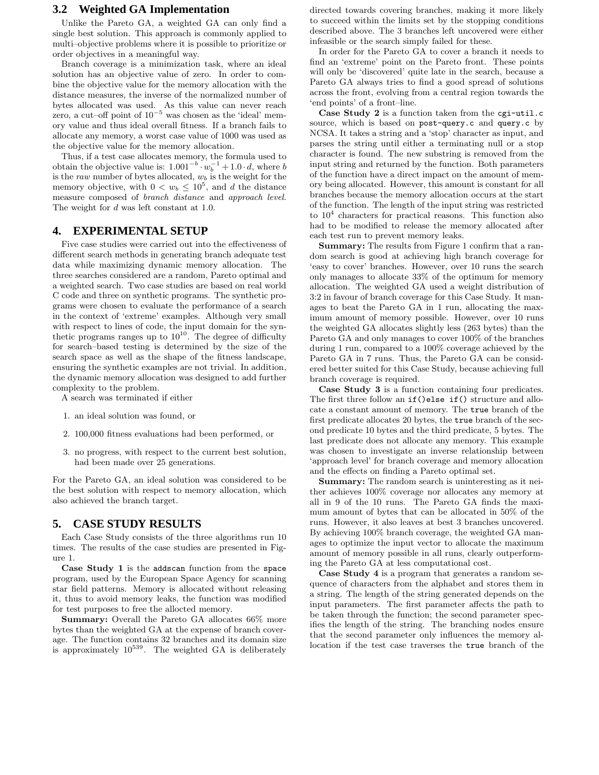# **3.2 Weighted GA Implementation**

Unlike the Pareto GA, a weighted GA can only find a single best solution. This approach is commonly applied to multi–objective problems where it is possible to prioritize or order objectives in a meaningful way.

Branch coverage is a minimization task, where an ideal solution has an objective value of zero. In order to combine the objective value for the memory allocation with the distance measures, the inverse of the normalized number of bytes allocated was used. As this value can never reach zero, a cut–off point of 10<sup>−</sup><sup>5</sup> was chosen as the 'ideal' memory value and thus ideal overall fitness. If a branch fails to allocate any memory, a worst case value of 1000 was used as the objective value for the memory allocation.

Thus, if a test case allocates memory, the formula used to obtain the objective value is:  $1.001^{-b} \cdot w_b^{-1} + 1.0 \cdot d$ , where b is the raw number of bytes allocated,  $w<sub>b</sub>$  is the weight for the memory objective, with  $0 < w_b \leq 10^5$ , and d the distance measure composed of branch distance and approach level. The weight for d was left constant at 1.0.

#### **4. EXPERIMENTAL SETUP**

Five case studies were carried out into the effectiveness of different search methods in generating branch adequate test data while maximizing dynamic memory allocation. The three searches considered are a random, Pareto optimal and a weighted search. Two case studies are based on real world C code and three on synthetic programs. The synthetic programs were chosen to evaluate the performance of a search in the context of 'extreme' examples. Although very small with respect to lines of code, the input domain for the synthetic programs ranges up to  $10^{10}$ . The degree of difficulty for search–based testing is determined by the size of the search space as well as the shape of the fitness landscape, ensuring the synthetic examples are not trivial. In addition, the dynamic memory allocation was designed to add further complexity to the problem.

A search was terminated if either

- 1. an ideal solution was found, or
- 2. 100,000 fitness evaluations had been performed, or
- 3. no progress, with respect to the current best solution, had been made over 25 generations.

For the Pareto GA, an ideal solution was considered to be the best solution with respect to memory allocation, which also achieved the branch target.

#### **5. CASE STUDY RESULTS**

Each Case Study consists of the three algorithms run 10 times. The results of the case studies are presented in Figure 1.

Case Study 1 is the addscan function from the space program, used by the European Space Agency for scanning star field patterns. Memory is allocated without releasing it, thus to avoid memory leaks, the function was modified for test purposes to free the allocted memory.

Summary: Overall the Pareto GA allocates 66% more bytes than the weighted GA at the expense of branch coverage. The function contains 32 branches and its domain size is approximately  $10^{539}$ . The weighted GA is deliberately

directed towards covering branches, making it more likely to succeed within the limits set by the stopping conditions described above. The 3 branches left uncovered were either infeasible or the search simply failed for these.

In order for the Pareto GA to cover a branch it needs to find an 'extreme' point on the Pareto front. These points will only be 'discovered' quite late in the search, because a Pareto GA always tries to find a good spread of solutions across the front, evolving from a central region towards the 'end points' of a front–line.

Case Study 2 is a function taken from the cgi-util.c source, which is based on post-query.c and query.c by NCSA. It takes a string and a 'stop' character as input, and parses the string until either a terminating null or a stop character is found. The new substring is removed from the input string and returned by the function. Both parameters of the function have a direct impact on the amount of memory being allocated. However, this amount is constant for all branches because the memory allocation occurs at the start of the function. The length of the input string was restricted to  $10^4$  characters for practical reasons. This function also had to be modified to release the memory allocated after each test run to prevent memory leaks.

Summary: The results from Figure 1 confirm that a random search is good at achieving high branch coverage for 'easy to cover' branches. However, over 10 runs the search only manages to allocate 33% of the optimum for memory allocation. The weighted GA used a weight distribution of 3:2 in favour of branch coverage for this Case Study. It manages to beat the Pareto GA in 1 run, allocating the maximum amount of memory possible. However, over 10 runs the weighted GA allocates slightly less (263 bytes) than the Pareto GA and only manages to cover 100% of the branches during 1 run, compared to a 100% coverage achieved by the Pareto GA in 7 runs. Thus, the Pareto GA can be considered better suited for this Case Study, because achieving full branch coverage is required.

Case Study 3 is a function containing four predicates. The first three follow an if()else if() structure and allocate a constant amount of memory. The true branch of the first predicate allocates 20 bytes, the true branch of the second predicate 10 bytes and the third predicate, 5 bytes. The last predicate does not allocate any memory. This example was chosen to investigate an inverse relationship between 'approach level' for branch coverage and memory allocation and the effects on finding a Pareto optimal set.

Summary: The random search is uninteresting as it neither achieves 100% coverage nor allocates any memory at all in 9 of the 10 runs. The Pareto GA finds the maximum amount of bytes that can be allocated in 50% of the runs. However, it also leaves at best 3 branches uncovered. By achieving 100% branch coverage, the weighted GA manages to optimize the input vector to allocate the maximum amount of memory possible in all runs, clearly outperforming the Pareto GA at less computational cost.

Case Study 4 is a program that generates a random sequence of characters from the alphabet and stores them in a string. The length of the string generated depends on the input parameters. The first parameter affects the path to be taken through the function; the second parameter specifies the length of the string. The branching nodes ensure that the second parameter only influences the memory allocation if the test case traverses the true branch of the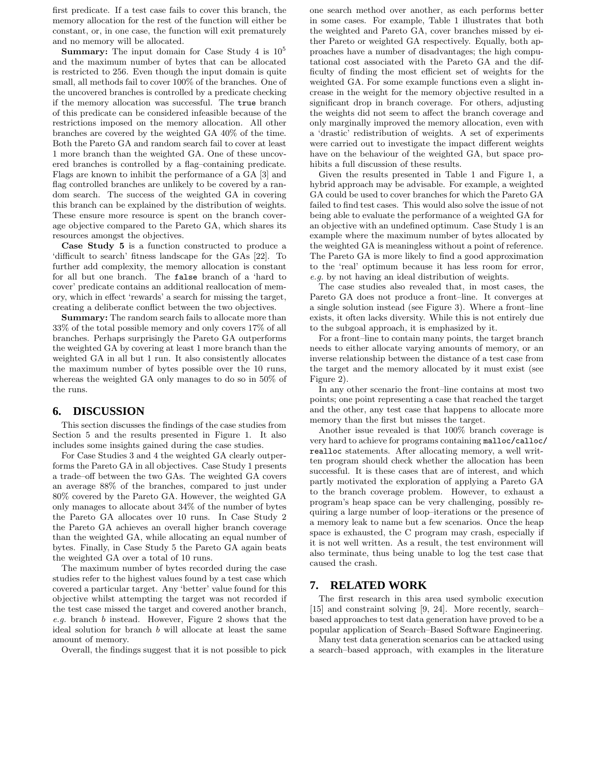first predicate. If a test case fails to cover this branch, the memory allocation for the rest of the function will either be constant, or, in one case, the function will exit prematurely and no memory will be allocated.

**Summary:** The input domain for Case Study 4 is  $10^5$ and the maximum number of bytes that can be allocated is restricted to 256. Even though the input domain is quite small, all methods fail to cover 100% of the branches. One of the uncovered branches is controlled by a predicate checking if the memory allocation was successful. The true branch of this predicate can be considered infeasible because of the restrictions imposed on the memory allocation. All other branches are covered by the weighted GA 40% of the time. Both the Pareto GA and random search fail to cover at least 1 more branch than the weighted GA. One of these uncovered branches is controlled by a flag–containing predicate. Flags are known to inhibit the performance of a GA [3] and flag controlled branches are unlikely to be covered by a random search. The success of the weighted GA in covering this branch can be explained by the distribution of weights. These ensure more resource is spent on the branch coverage objective compared to the Pareto GA, which shares its resources amongst the objectives.

Case Study 5 is a function constructed to produce a 'difficult to search' fitness landscape for the GAs [22]. To further add complexity, the memory allocation is constant for all but one branch. The false branch of a 'hard to cover' predicate contains an additional reallocation of memory, which in effect 'rewards' a search for missing the target, creating a deliberate conflict between the two objectives.

Summary: The random search fails to allocate more than 33% of the total possible memory and only covers 17% of all branches. Perhaps surprisingly the Pareto GA outperforms the weighted GA by covering at least 1 more branch than the weighted GA in all but 1 run. It also consistently allocates the maximum number of bytes possible over the 10 runs, whereas the weighted GA only manages to do so in 50% of the runs.

#### **6. DISCUSSION**

This section discusses the findings of the case studies from Section 5 and the results presented in Figure 1. It also includes some insights gained during the case studies.

For Case Studies 3 and 4 the weighted GA clearly outperforms the Pareto GA in all objectives. Case Study 1 presents a trade–off between the two GAs. The weighted GA covers an average 88% of the branches, compared to just under 80% covered by the Pareto GA. However, the weighted GA only manages to allocate about 34% of the number of bytes the Pareto GA allocates over 10 runs. In Case Study 2 the Pareto GA achieves an overall higher branch coverage than the weighted GA, while allocating an equal number of bytes. Finally, in Case Study 5 the Pareto GA again beats the weighted GA over a total of 10 runs.

The maximum number of bytes recorded during the case studies refer to the highest values found by a test case which covered a particular target. Any 'better' value found for this objective whilst attempting the target was not recorded if the test case missed the target and covered another branch, e.g. branch b instead. However, Figure 2 shows that the ideal solution for branch b will allocate at least the same amount of memory.

Overall, the findings suggest that it is not possible to pick

one search method over another, as each performs better in some cases. For example, Table 1 illustrates that both the weighted and Pareto GA, cover branches missed by either Pareto or weighted GA respectively. Equally, both approaches have a number of disadvantages; the high computational cost associated with the Pareto GA and the difficulty of finding the most efficient set of weights for the weighted GA. For some example functions even a slight increase in the weight for the memory objective resulted in a significant drop in branch coverage. For others, adjusting the weights did not seem to affect the branch coverage and only marginally improved the memory allocation, even with a 'drastic' redistribution of weights. A set of experiments were carried out to investigate the impact different weights have on the behaviour of the weighted GA, but space prohibits a full discussion of these results.

Given the results presented in Table 1 and Figure 1, a hybrid approach may be advisable. For example, a weighted GA could be used to cover branches for which the Pareto GA failed to find test cases. This would also solve the issue of not being able to evaluate the performance of a weighted GA for an objective with an undefined optimum. Case Study 1 is an example where the maximum number of bytes allocated by the weighted GA is meaningless without a point of reference. The Pareto GA is more likely to find a good approximation to the 'real' optimum because it has less room for error, e.g. by not having an ideal distribution of weights.

The case studies also revealed that, in most cases, the Pareto GA does not produce a front–line. It converges at a single solution instead (see Figure 3). Where a front–line exists, it often lacks diversity. While this is not entirely due to the subgoal approach, it is emphasized by it.

For a front–line to contain many points, the target branch needs to either allocate varying amounts of memory, or an inverse relationship between the distance of a test case from the target and the memory allocated by it must exist (see Figure 2).

In any other scenario the front–line contains at most two points; one point representing a case that reached the target and the other, any test case that happens to allocate more memory than the first but misses the target.

Another issue revealed is that 100% branch coverage is very hard to achieve for programs containing malloc/calloc/ realloc statements. After allocating memory, a well written program should check whether the allocation has been successful. It is these cases that are of interest, and which partly motivated the exploration of applying a Pareto GA to the branch coverage problem. However, to exhaust a program's heap space can be very challenging, possibly requiring a large number of loop–iterations or the presence of a memory leak to name but a few scenarios. Once the heap space is exhausted, the C program may crash, especially if it is not well written. As a result, the test environment will also terminate, thus being unable to log the test case that caused the crash.

#### **7. RELATED WORK**

The first research in this area used symbolic execution [15] and constraint solving [9, 24]. More recently, search– based approaches to test data generation have proved to be a popular application of Search–Based Software Engineering.

Many test data generation scenarios can be attacked using a search–based approach, with examples in the literature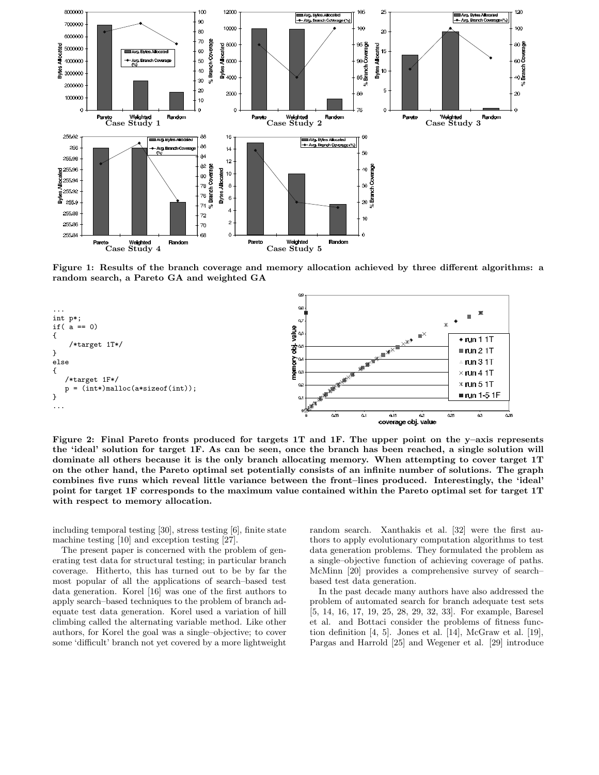

Figure 1: Results of the branch coverage and memory allocation achieved by three different algorithms: a random search, a Pareto GA and weighted GA



Figure 2: Final Pareto fronts produced for targets 1T and 1F. The upper point on the y–axis represents the 'ideal' solution for target 1F. As can be seen, once the branch has been reached, a single solution will dominate all others because it is the only branch allocating memory. When attempting to cover target 1T on the other hand, the Pareto optimal set potentially consists of an infinite number of solutions. The graph combines five runs which reveal little variance between the front–lines produced. Interestingly, the 'ideal' point for target 1F corresponds to the maximum value contained within the Pareto optimal set for target 1T with respect to memory allocation.

including temporal testing [30], stress testing [6], finite state machine testing [10] and exception testing [27].

The present paper is concerned with the problem of generating test data for structural testing; in particular branch coverage. Hitherto, this has turned out to be by far the most popular of all the applications of search–based test data generation. Korel [16] was one of the first authors to apply search–based techniques to the problem of branch adequate test data generation. Korel used a variation of hill climbing called the alternating variable method. Like other authors, for Korel the goal was a single–objective; to cover some 'difficult' branch not yet covered by a more lightweight

random search. Xanthakis et al. [32] were the first authors to apply evolutionary computation algorithms to test data generation problems. They formulated the problem as a single–objective function of achieving coverage of paths. McMinn [20] provides a comprehensive survey of search– based test data generation.

In the past decade many authors have also addressed the problem of automated search for branch adequate test sets [5, 14, 16, 17, 19, 25, 28, 29, 32, 33]. For example, Baresel et al. and Bottaci consider the problems of fitness function definition [4, 5]. Jones et al. [14], McGraw et al. [19], Pargas and Harrold [25] and Wegener et al. [29] introduce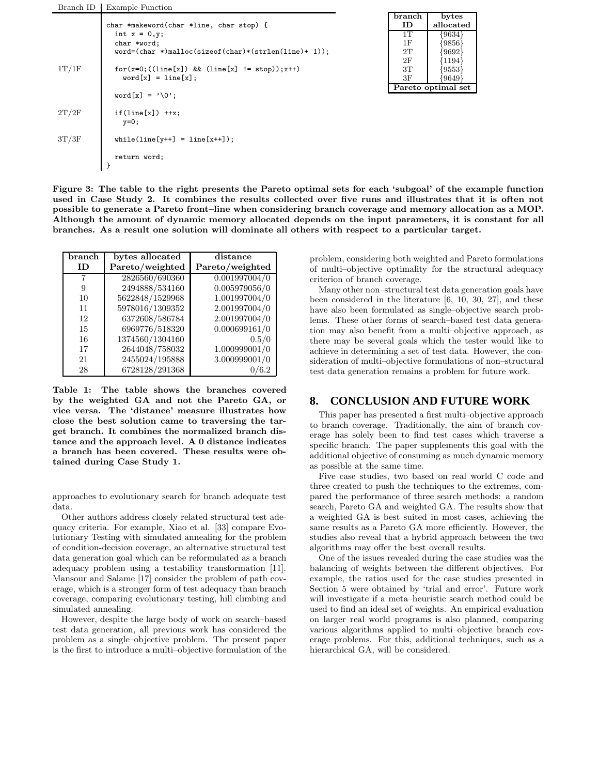Branch ID | Example Function

|       | char *makeword(char *line, char stop) {<br>int $x = 0, y;$<br>char *word;<br>$word=(char *)malloc(sizeof(char)*(strlen(line) + 1));$ |  |  |
|-------|--------------------------------------------------------------------------------------------------------------------------------------|--|--|
| 1T/1F | for(x=0;((line[x]) & (line[x] != stop)); x++)<br>$word[x] = line[x];$                                                                |  |  |
|       | word $[x] = '0';$                                                                                                                    |  |  |
| 2T/2F | $if(line[x]) +x;$<br>$v=0$ :                                                                                                         |  |  |
| 3T/3F | $while(line[y++] = line[x++]);$                                                                                                      |  |  |
|       | return word;                                                                                                                         |  |  |

| branch<br>ID       | $_{\rm bytes}$<br>allocated |  |
|--------------------|-----------------------------|--|
| 1T                 | {9634}                      |  |
| 1F                 | ${9856}$                    |  |
| 2T                 | ${9692}$                    |  |
| 2F                 | ${1194}$                    |  |
| 3Τ                 | ${9553}$                    |  |
| 3F                 | 9649                        |  |
| Pareto optimal set |                             |  |

Figure 3: The table to the right presents the Pareto optimal sets for each 'subgoal' of the example function used in Case Study 2. It combines the results collected over five runs and illustrates that it is often not possible to generate a Pareto front–line when considering branch coverage and memory allocation as a MOP. Although the amount of dynamic memory allocated depends on the input parameters, it is constant for all branches. As a result one solution will dominate all others with respect to a particular target.

| $\operatorname{branch}% \left( \mathcal{N}\right) \equiv\operatorname*{length}\left( \mathcal{N}\right)$ | bytes allocated | distance        |
|----------------------------------------------------------------------------------------------------------|-----------------|-----------------|
| ΙD                                                                                                       | Pareto/weighted | Pareto/weighted |
|                                                                                                          | 2826560/690360  | 0.001997004/0   |
| 9                                                                                                        | 2494888/534160  | 0.005979056/0   |
| 10                                                                                                       | 5622848/1529968 | 1.001997004/0   |
| 11                                                                                                       | 5978016/1309352 | 2.001997004/0   |
| 12                                                                                                       | 6372608/586784  | 2.001997004/0   |
| 15                                                                                                       | 6969776/518320  | 0.000699161/0   |
| 16                                                                                                       | 1374560/1304160 | 0.5/0           |
| 17                                                                                                       | 2644048/758032  | 1.000999001/0   |
| 21                                                                                                       | 2455024/195888  | 3.000999001/0   |
| 28                                                                                                       | 6728128/291368  | /6.2            |

Table 1: The table shows the branches covered by the weighted GA and not the Pareto GA, or vice versa. The 'distance' measure illustrates how close the best solution came to traversing the target branch. It combines the normalized branch distance and the approach level. A 0 distance indicates a branch has been covered. These results were obtained during Case Study 1.

approaches to evolutionary search for branch adequate test data.

Other authors address closely related structural test adequacy criteria. For example, Xiao et al. [33] compare Evolutionary Testing with simulated annealing for the problem of condition-decision coverage, an alternative structural test data generation goal which can be reformulated as a branch adequacy problem using a testability transformation [11]. Mansour and Salame [17] consider the problem of path coverage, which is a stronger form of test adequacy than branch coverage, comparing evolutionary testing, hill climbing and simulated annealing.

However, despite the large body of work on search–based test data generation, all previous work has considered the problem as a single–objective problem. The present paper is the first to introduce a multi–objective formulation of the problem, considering both weighted and Pareto formulations of multi–objective optimality for the structural adequacy criterion of branch coverage.

Many other non–structural test data generation goals have been considered in the literature [6, 10, 30, 27], and these have also been formulated as single–objective search problems. These other forms of search–based test data generation may also benefit from a multi–objective approach, as there may be several goals which the tester would like to achieve in determining a set of test data. However, the consideration of multi–objective formulations of non–structural test data generation remains a problem for future work.

#### **8. CONCLUSION AND FUTURE WORK**

This paper has presented a first multi–objective approach to branch coverage. Traditionally, the aim of branch coverage has solely been to find test cases which traverse a specific branch. The paper supplements this goal with the additional objective of consuming as much dynamic memory as possible at the same time.

Five case studies, two based on real world C code and three created to push the techniques to the extremes, compared the performance of three search methods: a random search, Pareto GA and weighted GA. The results show that a weighted GA is best suited in most cases, achieving the same results as a Pareto GA more efficiently. However, the studies also reveal that a hybrid approach between the two algorithms may offer the best overall results.

One of the issues revealed during the case studies was the balancing of weights between the different objectives. For example, the ratios used for the case studies presented in Section 5 were obtained by 'trial and error'. Future work will investigate if a meta–heuristic search method could be used to find an ideal set of weights. An empirical evaluation on larger real world programs is also planned, comparing various algorithms applied to multi–objective branch coverage problems. For this, additional techniques, such as a hierarchical GA, will be considered.